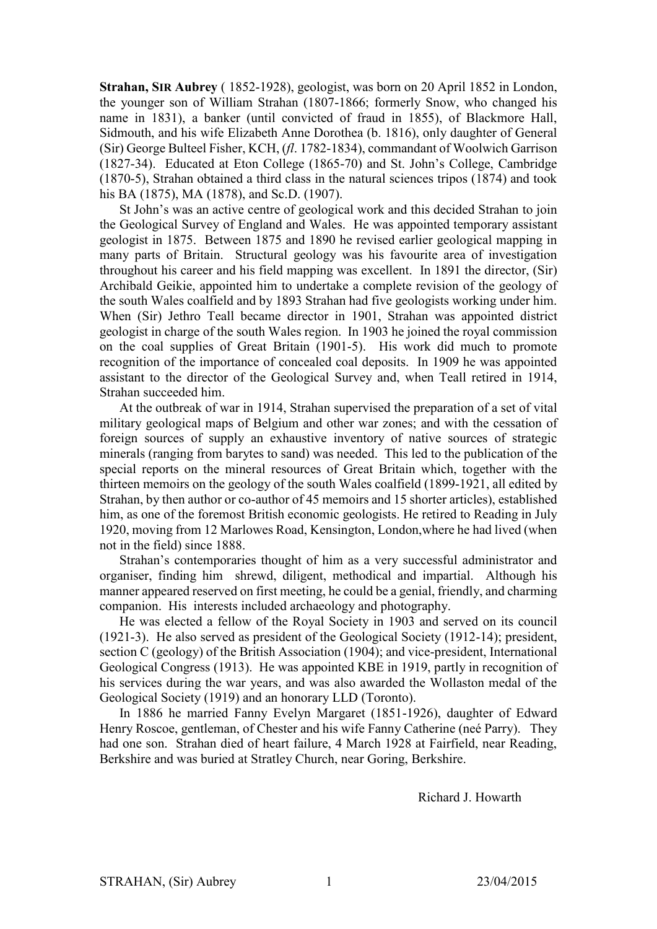**Strahan, SIR Aubrey** ( 1852-1928), geologist, was born on 20 April 1852 in London, the younger son of William Strahan (1807-1866; formerly Snow, who changed his name in 1831), a banker (until convicted of fraud in 1855), of Blackmore Hall, Sidmouth, and his wife Elizabeth Anne Dorothea (b. 1816), only daughter of General (Sir) George Bulteel Fisher, KCH, (*fl*. 1782-1834), commandant of Woolwich Garrison (1827-34). Educated at Eton College (1865-70) and St. John's College, Cambridge (1870-5), Strahan obtained a third class in the natural sciences tripos (1874) and took his BA (1875), MA (1878), and Sc.D. (1907).

St John's was an active centre of geological work and this decided Strahan to join the Geological Survey of England and Wales. He was appointed temporary assistant geologist in 1875. Between 1875 and 1890 he revised earlier geological mapping in many parts of Britain. Structural geology was his favourite area of investigation throughout his career and his field mapping was excellent. In 1891 the director, (Sir) Archibald Geikie, appointed him to undertake a complete revision of the geology of the south Wales coalfield and by 1893 Strahan had five geologists working under him. When (Sir) Jethro Teall became director in 1901, Strahan was appointed district geologist in charge of the south Wales region. In 1903 he joined the royal commission on the coal supplies of Great Britain (1901-5). His work did much to promote recognition of the importance of concealed coal deposits. In 1909 he was appointed assistant to the director of the Geological Survey and, when Teall retired in 1914, Strahan succeeded him.

At the outbreak of war in 1914, Strahan supervised the preparation of a set of vital military geological maps of Belgium and other war zones; and with the cessation of foreign sources of supply an exhaustive inventory of native sources of strategic minerals (ranging from barytes to sand) was needed. This led to the publication of the special reports on the mineral resources of Great Britain which, together with the thirteen memoirs on the geology of the south Wales coalfield (1899-1921, all edited by Strahan, by then author or co-author of 45 memoirs and 15 shorter articles), established him, as one of the foremost British economic geologists. He retired to Reading in July 1920, moving from 12 Marlowes Road, Kensington, London,where he had lived (when not in the field) since 1888.

Strahan's contemporaries thought of him as a very successful administrator and organiser, finding him shrewd, diligent, methodical and impartial. Although his manner appeared reserved on first meeting, he could be a genial, friendly, and charming companion. His interests included archaeology and photography.

He was elected a fellow of the Royal Society in 1903 and served on its council (1921-3). He also served as president of the Geological Society (1912-14); president, section C (geology) of the British Association (1904); and vice-president, International Geological Congress (1913). He was appointed KBE in 1919, partly in recognition of his services during the war years, and was also awarded the Wollaston medal of the Geological Society (1919) and an honorary LLD (Toronto).

In 1886 he married Fanny Evelyn Margaret (1851-1926), daughter of Edward Henry Roscoe, gentleman, of Chester and his wife Fanny Catherine (neé Parry). They had one son. Strahan died of heart failure, 4 March 1928 at Fairfield, near Reading, Berkshire and was buried at Stratley Church, near Goring, Berkshire.

Richard J. Howarth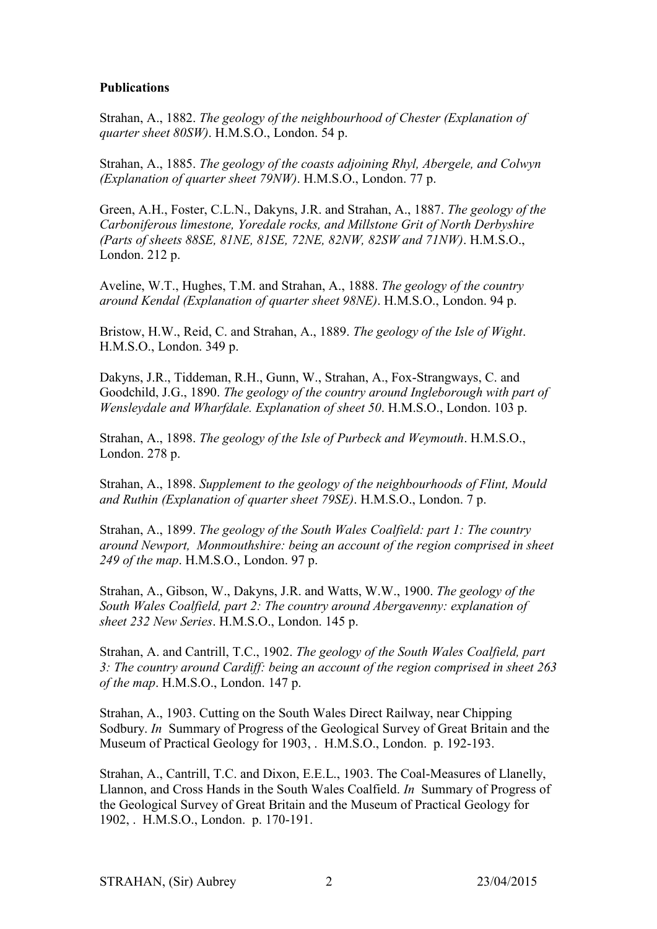## **Publications**

Strahan, A., 1882. *The geology of the neighbourhood of Chester (Explanation of quarter sheet 80SW)*. H.M.S.O., London. 54 p.

Strahan, A., 1885. *The geology of the coasts adjoining Rhyl, Abergele, and Colwyn (Explanation of quarter sheet 79NW)*. H.M.S.O., London. 77 p.

Green, A.H., Foster, C.L.N., Dakyns, J.R. and Strahan, A., 1887. *The geology of the Carboniferous limestone, Yoredale rocks, and Millstone Grit of North Derbyshire (Parts of sheets 88SE, 81NE, 81SE, 72NE, 82NW, 82SW and 71NW)*. H.M.S.O., London. 212 p.

Aveline, W.T., Hughes, T.M. and Strahan, A., 1888. *The geology of the country around Kendal (Explanation of quarter sheet 98NE)*. H.M.S.O., London. 94 p.

Bristow, H.W., Reid, C. and Strahan, A., 1889. *The geology of the Isle of Wight*. H.M.S.O., London. 349 p.

Dakyns, J.R., Tiddeman, R.H., Gunn, W., Strahan, A., Fox-Strangways, C. and Goodchild, J.G., 1890. *The geology of the country around Ingleborough with part of Wensleydale and Wharfdale. Explanation of sheet 50*. H.M.S.O., London. 103 p.

Strahan, A., 1898. *The geology of the Isle of Purbeck and Weymouth*. H.M.S.O., London. 278 p.

Strahan, A., 1898. *Supplement to the geology of the neighbourhoods of Flint, Mould and Ruthin (Explanation of quarter sheet 79SE)*. H.M.S.O., London. 7 p.

Strahan, A., 1899. *The geology of the South Wales Coalfield: part 1: The country around Newport, Monmouthshire: being an account of the region comprised in sheet 249 of the map*. H.M.S.O., London. 97 p.

Strahan, A., Gibson, W., Dakyns, J.R. and Watts, W.W., 1900. *The geology of the South Wales Coalfield, part 2: The country around Abergavenny: explanation of sheet 232 New Series*. H.M.S.O., London. 145 p.

Strahan, A. and Cantrill, T.C., 1902. *The geology of the South Wales Coalfield, part 3: The country around Cardiff: being an account of the region comprised in sheet 263 of the map*. H.M.S.O., London. 147 p.

Strahan, A., 1903. Cutting on the South Wales Direct Railway, near Chipping Sodbury. *In* Summary of Progress of the Geological Survey of Great Britain and the Museum of Practical Geology for 1903, . H.M.S.O., London. p. 192-193.

Strahan, A., Cantrill, T.C. and Dixon, E.E.L., 1903. The Coal-Measures of Llanelly, Llannon, and Cross Hands in the South Wales Coalfield. *In* Summary of Progress of the Geological Survey of Great Britain and the Museum of Practical Geology for 1902, . H.M.S.O., London. p. 170-191.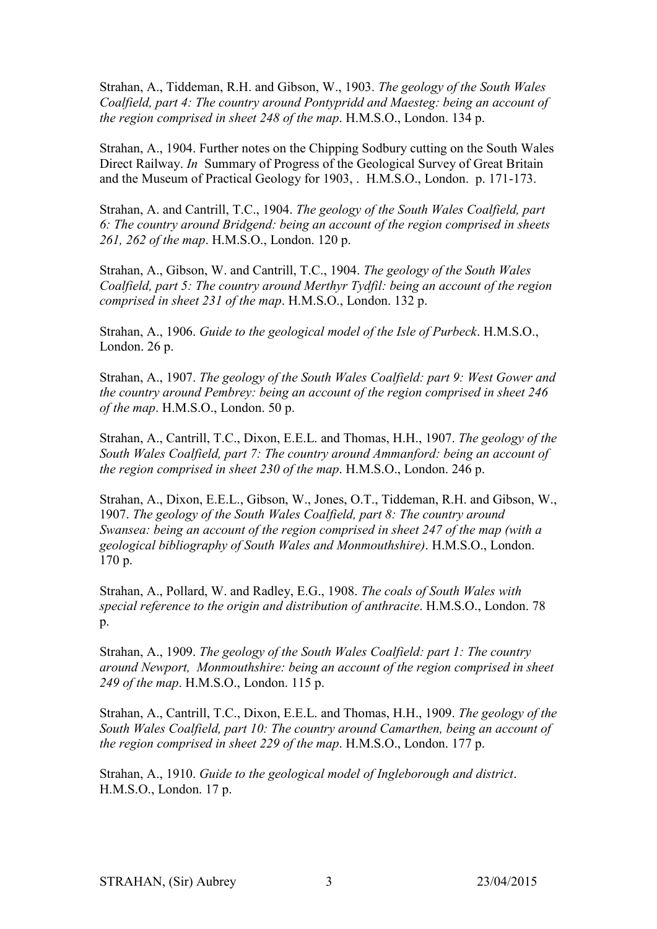Strahan, A., Tiddeman, R.H. and Gibson, W., 1903. *The geology of the South Wales Coalfield, part 4: The country around Pontypridd and Maesteg: being an account of the region comprised in sheet 248 of the map*. H.M.S.O., London. 134 p.

Strahan, A., 1904. Further notes on the Chipping Sodbury cutting on the South Wales Direct Railway. *In* Summary of Progress of the Geological Survey of Great Britain and the Museum of Practical Geology for 1903, . H.M.S.O., London. p. 171-173.

Strahan, A. and Cantrill, T.C., 1904. *The geology of the South Wales Coalfield, part 6: The country around Bridgend: being an account of the region comprised in sheets 261, 262 of the map*. H.M.S.O., London. 120 p.

Strahan, A., Gibson, W. and Cantrill, T.C., 1904. *The geology of the South Wales Coalfield, part 5: The country around Merthyr Tydfil: being an account of the region comprised in sheet 231 of the map*. H.M.S.O., London. 132 p.

Strahan, A., 1906. *Guide to the geological model of the Isle of Purbeck*. H.M.S.O., London. 26 p.

Strahan, A., 1907. *The geology of the South Wales Coalfield: part 9: West Gower and the country around Pembrey: being an account of the region comprised in sheet 246 of the map*. H.M.S.O., London. 50 p.

Strahan, A., Cantrill, T.C., Dixon, E.E.L. and Thomas, H.H., 1907. *The geology of the South Wales Coalfield, part 7: The country around Ammanford: being an account of the region comprised in sheet 230 of the map*. H.M.S.O., London. 246 p.

Strahan, A., Dixon, E.E.L., Gibson, W., Jones, O.T., Tiddeman, R.H. and Gibson, W., 1907. *The geology of the South Wales Coalfield, part 8: The country around Swansea: being an account of the region comprised in sheet 247 of the map (with a geological bibliography of South Wales and Monmouthshire)*. H.M.S.O., London. 170 p.

Strahan, A., Pollard, W. and Radley, E.G., 1908. *The coals of South Wales with special reference to the origin and distribution of anthracite*. H.M.S.O., London. 78 p.

Strahan, A., 1909. *The geology of the South Wales Coalfield: part 1: The country around Newport, Monmouthshire: being an account of the region comprised in sheet 249 of the map*. H.M.S.O., London. 115 p.

Strahan, A., Cantrill, T.C., Dixon, E.E.L. and Thomas, H.H., 1909. *The geology of the South Wales Coalfield, part 10: The country around Camarthen, being an account of the region comprised in sheet 229 of the map*. H.M.S.O., London. 177 p.

Strahan, A., 1910. *Guide to the geological model of Ingleborough and district*. H.M.S.O., London. 17 p.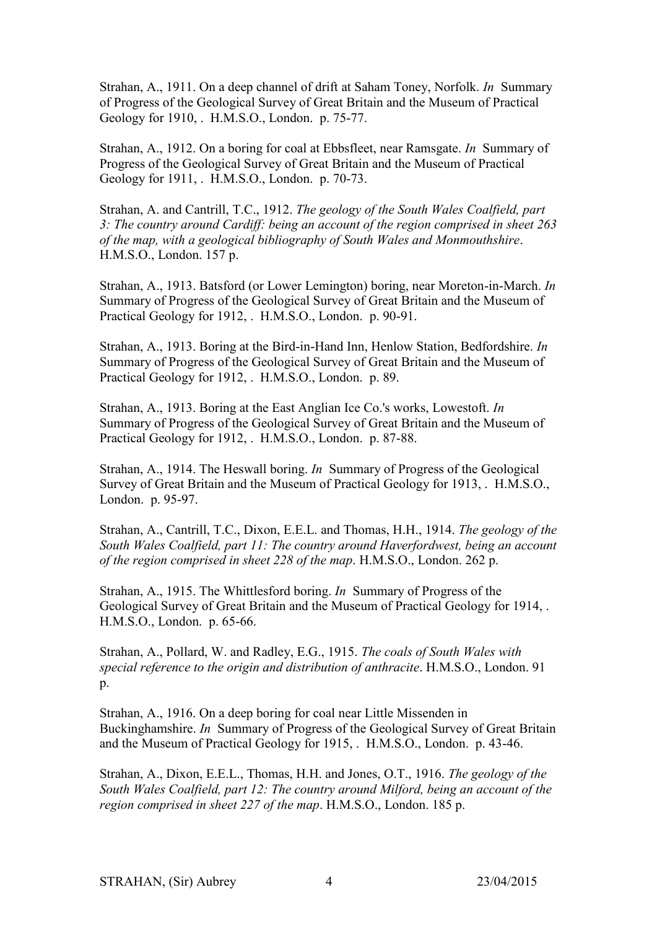Strahan, A., 1911. On a deep channel of drift at Saham Toney, Norfolk. *In* Summary of Progress of the Geological Survey of Great Britain and the Museum of Practical Geology for 1910, . H.M.S.O., London. p. 75-77.

Strahan, A., 1912. On a boring for coal at Ebbsfleet, near Ramsgate. *In* Summary of Progress of the Geological Survey of Great Britain and the Museum of Practical Geology for 1911, . H.M.S.O., London. p. 70-73.

Strahan, A. and Cantrill, T.C., 1912. *The geology of the South Wales Coalfield, part 3: The country around Cardiff: being an account of the region comprised in sheet 263 of the map, with a geological bibliography of South Wales and Monmouthshire*. H.M.S.O., London. 157 p.

Strahan, A., 1913. Batsford (or Lower Lemington) boring, near Moreton-in-March. *In* Summary of Progress of the Geological Survey of Great Britain and the Museum of Practical Geology for 1912, . H.M.S.O., London. p. 90-91.

Strahan, A., 1913. Boring at the Bird-in-Hand Inn, Henlow Station, Bedfordshire. *In* Summary of Progress of the Geological Survey of Great Britain and the Museum of Practical Geology for 1912, . H.M.S.O., London. p. 89.

Strahan, A., 1913. Boring at the East Anglian Ice Co.'s works, Lowestoft. *In* Summary of Progress of the Geological Survey of Great Britain and the Museum of Practical Geology for 1912, . H.M.S.O., London. p. 87-88.

Strahan, A., 1914. The Heswall boring. *In* Summary of Progress of the Geological Survey of Great Britain and the Museum of Practical Geology for 1913, . H.M.S.O., London. p. 95-97.

Strahan, A., Cantrill, T.C., Dixon, E.E.L. and Thomas, H.H., 1914. *The geology of the South Wales Coalfield, part 11: The country around Haverfordwest, being an account of the region comprised in sheet 228 of the map*. H.M.S.O., London. 262 p.

Strahan, A., 1915. The Whittlesford boring. *In* Summary of Progress of the Geological Survey of Great Britain and the Museum of Practical Geology for 1914, . H.M.S.O., London. p. 65-66.

Strahan, A., Pollard, W. and Radley, E.G., 1915. *The coals of South Wales with special reference to the origin and distribution of anthracite*. H.M.S.O., London. 91  $p_{\cdot}$ 

Strahan, A., 1916. On a deep boring for coal near Little Missenden in Buckinghamshire. *In* Summary of Progress of the Geological Survey of Great Britain and the Museum of Practical Geology for 1915, . H.M.S.O., London. p. 43-46.

Strahan, A., Dixon, E.E.L., Thomas, H.H. and Jones, O.T., 1916. *The geology of the South Wales Coalfield, part 12: The country around Milford, being an account of the region comprised in sheet 227 of the map*. H.M.S.O., London. 185 p.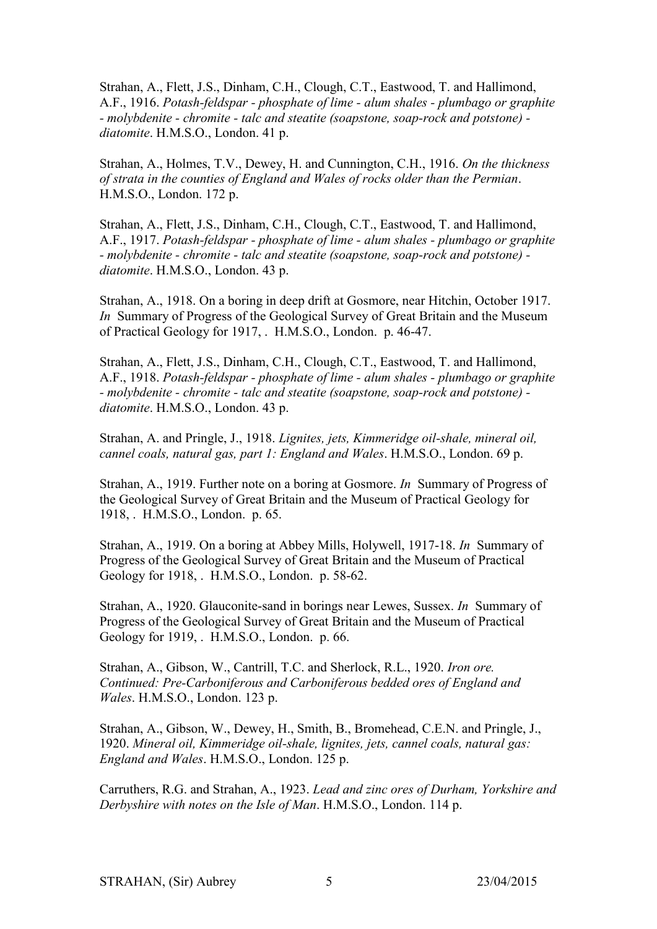Strahan, A., Flett, J.S., Dinham, C.H., Clough, C.T., Eastwood, T. and Hallimond, A.F., 1916. *Potash-feldspar - phosphate of lime - alum shales - plumbago or graphite - molybdenite - chromite - talc and steatite (soapstone, soap-rock and potstone) diatomite*. H.M.S.O., London. 41 p.

Strahan, A., Holmes, T.V., Dewey, H. and Cunnington, C.H., 1916. *On the thickness of strata in the counties of England and Wales of rocks older than the Permian*. H.M.S.O., London. 172 p.

Strahan, A., Flett, J.S., Dinham, C.H., Clough, C.T., Eastwood, T. and Hallimond, A.F., 1917. *Potash-feldspar - phosphate of lime - alum shales - plumbago or graphite - molybdenite - chromite - talc and steatite (soapstone, soap-rock and potstone) diatomite*. H.M.S.O., London. 43 p.

Strahan, A., 1918. On a boring in deep drift at Gosmore, near Hitchin, October 1917. *In* Summary of Progress of the Geological Survey of Great Britain and the Museum of Practical Geology for 1917, . H.M.S.O., London. p. 46-47.

Strahan, A., Flett, J.S., Dinham, C.H., Clough, C.T., Eastwood, T. and Hallimond, A.F., 1918. *Potash-feldspar - phosphate of lime - alum shales - plumbago or graphite - molybdenite - chromite - talc and steatite (soapstone, soap-rock and potstone) diatomite*. H.M.S.O., London. 43 p.

Strahan, A. and Pringle, J., 1918. *Lignites, jets, Kimmeridge oil-shale, mineral oil, cannel coals, natural gas, part 1: England and Wales*. H.M.S.O., London. 69 p.

Strahan, A., 1919. Further note on a boring at Gosmore. *In* Summary of Progress of the Geological Survey of Great Britain and the Museum of Practical Geology for 1918, . H.M.S.O., London. p. 65.

Strahan, A., 1919. On a boring at Abbey Mills, Holywell, 1917-18. *In* Summary of Progress of the Geological Survey of Great Britain and the Museum of Practical Geology for 1918, . H.M.S.O., London. p. 58-62.

Strahan, A., 1920. Glauconite-sand in borings near Lewes, Sussex. *In* Summary of Progress of the Geological Survey of Great Britain and the Museum of Practical Geology for 1919, . H.M.S.O., London. p. 66.

Strahan, A., Gibson, W., Cantrill, T.C. and Sherlock, R.L., 1920. *Iron ore. Continued: Pre-Carboniferous and Carboniferous bedded ores of England and Wales*. H.M.S.O., London. 123 p.

Strahan, A., Gibson, W., Dewey, H., Smith, B., Bromehead, C.E.N. and Pringle, J., 1920. *Mineral oil, Kimmeridge oil-shale, lignites, jets, cannel coals, natural gas: England and Wales*. H.M.S.O., London. 125 p.

Carruthers, R.G. and Strahan, A., 1923. *Lead and zinc ores of Durham, Yorkshire and Derbyshire with notes on the Isle of Man*. H.M.S.O., London. 114 p.